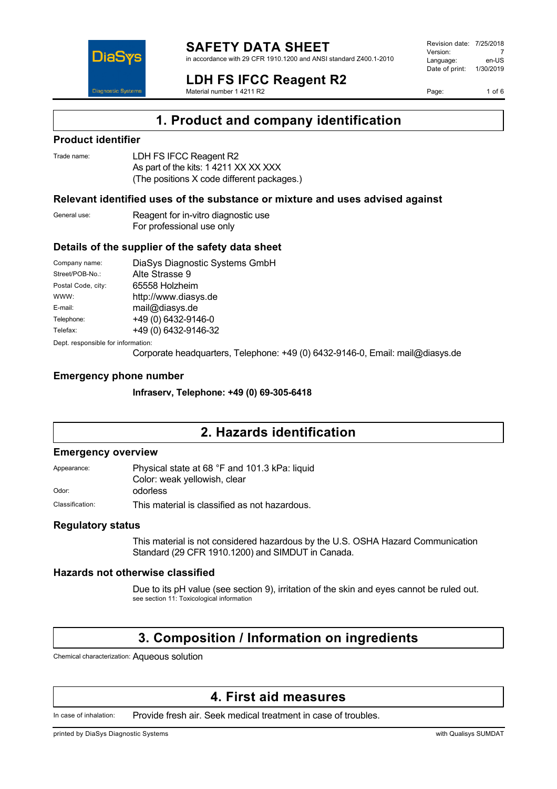

#### **SAFETY DATA SHEET** in accordance with 29 CFR 1910.1200 and ANSI standard Z400.1-2010

**LDH FS IFCC Reagent R2** Material number 1 4211 R2

Revision date: 7/25/2018 Version: 7<br>Language: en-LIS Language: Date of print: 1/30/2019

Page: 1 of 6

## **1. Product and company identification**

### **Product identifier**

| Trade name: | LDH FS IFCC Reagent R2                     |
|-------------|--------------------------------------------|
|             | As part of the kits: 1 4211 XX XX XXX      |
|             | (The positions X code different packages.) |

### **Relevant identified uses of the substance or mixture and uses advised against**

General use: Reagent for in-vitro diagnostic use For professional use only

### **Details of the supplier of the safety data sheet**

| Company name:                      | DiaSys Diagnostic Systems GmbH |  |
|------------------------------------|--------------------------------|--|
| Street/POB-No.:                    | Alte Strasse 9                 |  |
| Postal Code, city:                 | 65558 Holzheim                 |  |
| WWW:                               | http://www.diasys.de           |  |
| E-mail:                            | mail@diasys.de                 |  |
| Telephone:                         | +49 (0) 6432-9146-0            |  |
| Telefax:                           | +49 (0) 6432-9146-32           |  |
| Dept. responsible for information: |                                |  |

Corporate headquarters, Telephone: +49 (0) 6432-9146-0, Email: mail@diasys.de

### **Emergency phone number**

**Infraserv, Telephone: +49 (0) 69-305-6418**

## **2. Hazards identification**

### **Emergency overview**

Appearance: Physical state at 68 °F and 101.3 kPa: liquid Color: weak yellowish, clear

Odor: odorless

Classification: This material is classified as not hazardous.

### **Regulatory status**

This material is not considered hazardous by the U.S. OSHA Hazard Communication Standard (29 CFR 1910.1200) and SIMDUT in Canada.

### **Hazards not otherwise classified**

Due to its pH value (see section 9), irritation of the skin and eyes cannot be ruled out. see section 11: Toxicological information

## **3. Composition / Information on ingredients**

Chemical characterization: Aqueous solution

## **4. First aid measures**

In case of inhalation: Provide fresh air. Seek medical treatment in case of troubles.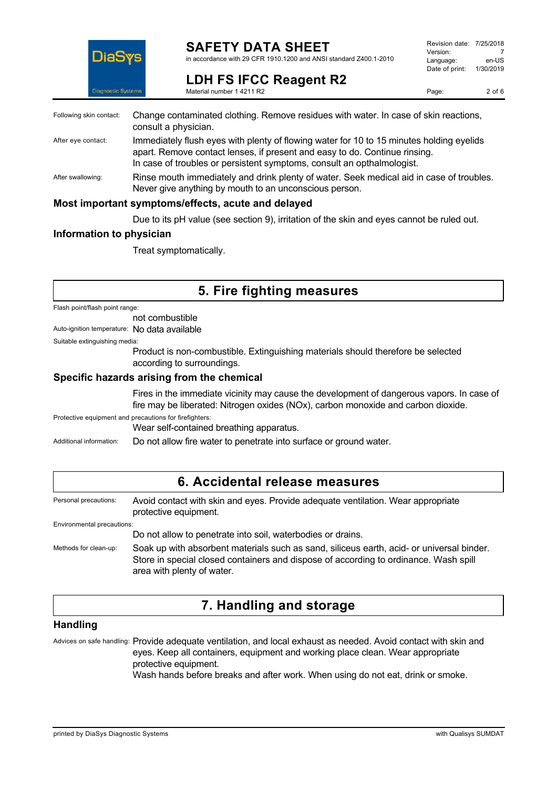

### **SAFETY DATA SHEET**

in accordance with 29 CFR 1910.1200 and ANSI standard Z400.1-2010

| Revision date: 7/25/2018 |           |
|--------------------------|-----------|
| Version:                 |           |
| Language:                | en-US     |
| Date of print:           | 1/30/2019 |
|                          |           |

**LDH FS IFCC Reagent R2** Material number 1 4211 R2

| Following skin contact: | Change contaminated clothing. Remove residues with water. In case of skin reactions,<br>consult a physician.                                                                                                                                     |
|-------------------------|--------------------------------------------------------------------------------------------------------------------------------------------------------------------------------------------------------------------------------------------------|
| After eye contact:      | Immediately flush eyes with plenty of flowing water for 10 to 15 minutes holding eyelids<br>apart. Remove contact lenses, if present and easy to do. Continue rinsing.<br>In case of troubles or persistent symptoms, consult an opthalmologist. |
| After swallowing:       | Rinse mouth immediately and drink plenty of water. Seek medical aid in case of troubles.<br>Never give anything by mouth to an unconscious person.                                                                                               |
|                         | Most important symptoms/effects, acute and delayed                                                                                                                                                                                               |
|                         | Due to its pH value (see section 9), irritation of the skin and eyes cannot be ruled out.                                                                                                                                                        |

### **Information to physician**

Treat symptomatically.

## **5. Fire fighting measures**

Flash point/flash point range:

not combustible

Auto-ignition temperature: No data available

Suitable extinguishing media:

Product is non-combustible. Extinguishing materials should therefore be selected according to surroundings.

### **Specific hazards arising from the chemical**

Fires in the immediate vicinity may cause the development of dangerous vapors. In case of fire may be liberated: Nitrogen oxides (NOx), carbon monoxide and carbon dioxide.

Protective equipment and precautions for firefighters:

Wear self-contained breathing apparatus.

Additional information: Do not allow fire water to penetrate into surface or ground water.

| 6. Accidental release measures |                                                                                                                                                                                                                 |  |
|--------------------------------|-----------------------------------------------------------------------------------------------------------------------------------------------------------------------------------------------------------------|--|
| Personal precautions:          | Avoid contact with skin and eyes. Provide adequate ventilation. Wear appropriate<br>protective equipment.                                                                                                       |  |
| Environmental precautions:     |                                                                                                                                                                                                                 |  |
|                                | Do not allow to penetrate into soil, waterbodies or drains.                                                                                                                                                     |  |
| Methods for clean-up:          | Soak up with absorbent materials such as sand, siliceus earth, acid- or universal binder.<br>Store in special closed containers and dispose of according to ordinance. Wash spill<br>area with plenty of water. |  |

## **7. Handling and storage**

### **Handling**

Advices on safe handling: Provide adequate ventilation, and local exhaust as needed. Avoid contact with skin and eyes. Keep all containers, equipment and working place clean. Wear appropriate protective equipment.

Wash hands before breaks and after work. When using do not eat, drink or smoke.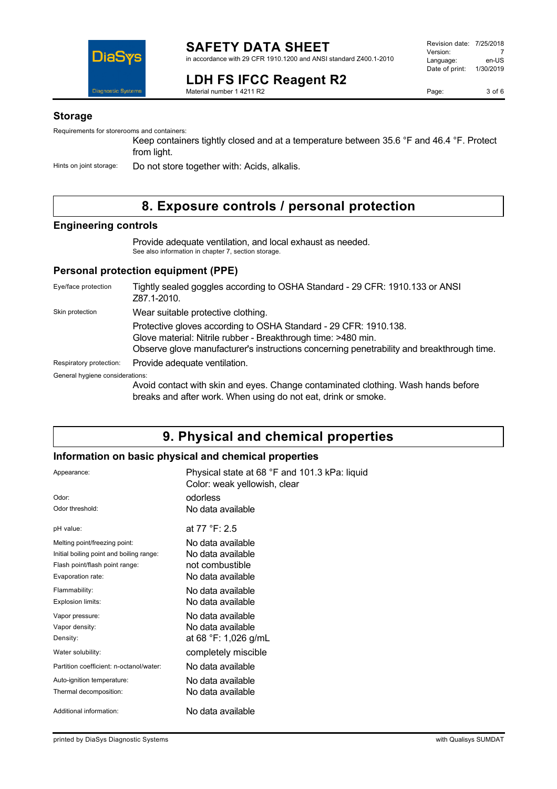

### **LDH FS IFCC Reagent R2** Material number 1 4211 R2

Revision date: 7/25/2018 Version: 7<br>Language: en-US Language: Date of print: 1/30/2019

Page: 3 of 6

### **Storage**

Requirements for storerooms and containers:

Keep containers tightly closed and at a temperature between 35.6 °F and 46.4 °F. Protect from light.

Hints on joint storage: Do not store together with: Acids, alkalis.

## **8. Exposure controls / personal protection**

### **Engineering controls**

Provide adequate ventilation, and local exhaust as needed. See also information in chapter 7, section storage.

### **Personal protection equipment (PPE)**

| Eye/face protection             | Tightly sealed goggles according to OSHA Standard - 29 CFR: 1910.133 or ANSI<br>Z87.1-2010.                                                                                                                                    |
|---------------------------------|--------------------------------------------------------------------------------------------------------------------------------------------------------------------------------------------------------------------------------|
| Skin protection                 | Wear suitable protective clothing.                                                                                                                                                                                             |
|                                 | Protective gloves according to OSHA Standard - 29 CFR: 1910.138.<br>Glove material: Nitrile rubber - Breakthrough time: >480 min.<br>Observe glove manufacturer's instructions concerning penetrability and breakthrough time. |
| Respiratory protection:         | Provide adequate ventilation.                                                                                                                                                                                                  |
| General hygiene considerations: |                                                                                                                                                                                                                                |
|                                 | Avoid contact with skin and eyes. Change contaminated clothing. Wash hands before<br>breaks and after work. When using do not eat, drink or smoke.                                                                             |

## **9. Physical and chemical properties**

### **Information on basic physical and chemical properties**

| Appearance:                              | Physical state at 68 °F and 101.3 kPa: liquid<br>Color: weak yellowish, clear |
|------------------------------------------|-------------------------------------------------------------------------------|
| Odor:                                    | odorless                                                                      |
| Odor threshold:                          | No data available                                                             |
| pH value:                                | at 77 °F: 2.5                                                                 |
| Melting point/freezing point:            | No data available                                                             |
| Initial boiling point and boiling range: | No data available                                                             |
| Flash point/flash point range:           | not combustible                                                               |
| Evaporation rate:                        | No data available                                                             |
| Flammability:                            | No data available                                                             |
| Explosion limits:                        | No data available                                                             |
| Vapor pressure:                          | No data available                                                             |
| Vapor density:                           | No data available                                                             |
| Density:                                 | at 68 °F: 1,026 g/mL                                                          |
| Water solubility:                        | completely miscible                                                           |
| Partition coefficient: n-octanol/water:  | No data available                                                             |
| Auto-ignition temperature:               | No data available                                                             |
| Thermal decomposition:                   | No data available                                                             |
| Additional information:                  | No data available                                                             |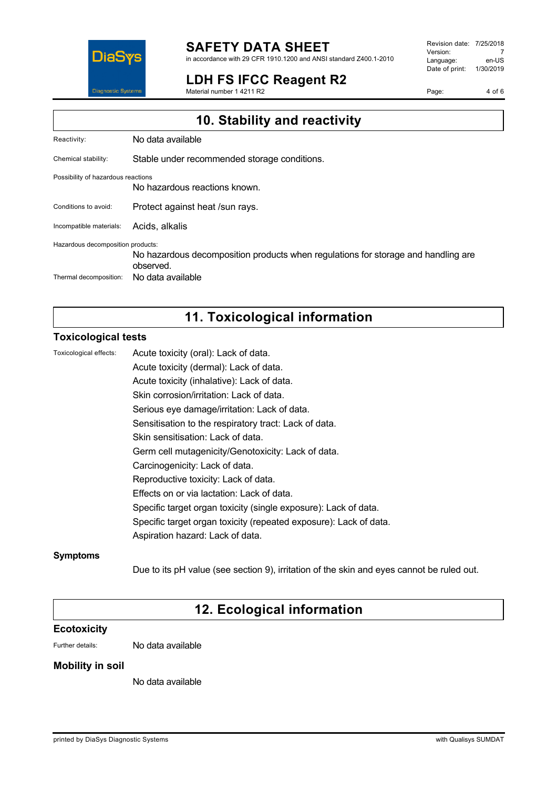

# **SAFETY DATA SHEET**

in accordance with 29 CFR 1910.1200 and ANSI standard Z400.1-2010

## **LDH FS IFCC Reagent R2**

Material number 1 4211 R2

Revision date: 7/25/2018 Version: 7<br>Language: en-US Language: Date of print: 1/30/2019

Page: 4 of 6

| 10. Stability and reactivity                                |                                                                                                                     |
|-------------------------------------------------------------|---------------------------------------------------------------------------------------------------------------------|
| Reactivity:                                                 | No data available                                                                                                   |
| Chemical stability:                                         | Stable under recommended storage conditions.                                                                        |
| Possibility of hazardous reactions                          | No hazardous reactions known.                                                                                       |
| Conditions to avoid:                                        | Protect against heat /sun rays.                                                                                     |
| Incompatible materials:                                     | Acids, alkalis                                                                                                      |
| Hazardous decomposition products:<br>Thermal decomposition: | No hazardous decomposition products when regulations for storage and handling are<br>observed.<br>No data available |
|                                                             |                                                                                                                     |

## **11. Toxicological information**

### **Toxicological tests**

| Toxicological effects: | Acute toxicity (oral): Lack of data.                              |
|------------------------|-------------------------------------------------------------------|
|                        | Acute toxicity (dermal): Lack of data.                            |
|                        | Acute toxicity (inhalative): Lack of data.                        |
|                        | Skin corrosion/irritation: Lack of data.                          |
|                        | Serious eye damage/irritation: Lack of data.                      |
|                        | Sensitisation to the respiratory tract: Lack of data.             |
|                        | Skin sensitisation: Lack of data.                                 |
|                        | Germ cell mutagenicity/Genotoxicity: Lack of data.                |
|                        | Carcinogenicity: Lack of data.                                    |
|                        | Reproductive toxicity: Lack of data.                              |
|                        | Effects on or via lactation: Lack of data.                        |
|                        | Specific target organ toxicity (single exposure): Lack of data.   |
|                        | Specific target organ toxicity (repeated exposure): Lack of data. |
|                        | Aspiration hazard: Lack of data.                                  |
|                        |                                                                   |

### **Symptoms**

Due to its pH value (see section 9), irritation of the skin and eyes cannot be ruled out.

## **12. Ecological information**

### **Ecotoxicity**

Further details: No data available

### **Mobility in soil**

No data available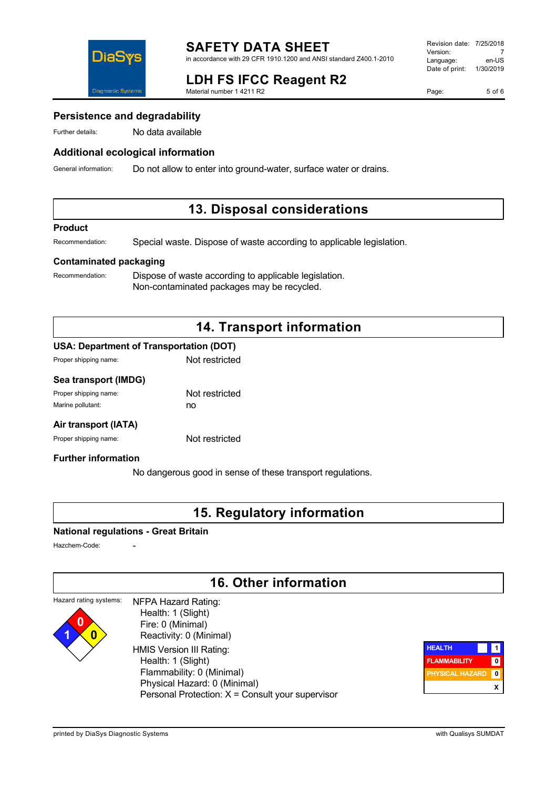

## **LDH FS IFCC Reagent R2**

Material number 1 4211 R2

Page: 5 of 6

### **Persistence and degradability**

Further details: No data available

### **Additional ecological information**

General information: Do not allow to enter into ground-water, surface water or drains.

### **13. Disposal considerations**

#### **Product**

Recommendation: Special waste. Dispose of waste according to applicable legislation.

### **Contaminated packaging**

Recommendation: Dispose of waste according to applicable legislation. Non-contaminated packages may be recycled.

## **14. Transport information**

### **USA: Department of Transportation (DOT)**

| Proper shipping name: | Not restricted |
|-----------------------|----------------|
|                       |                |

### **Sea transport (IMDG)**

| Proper shipping name: | Not restricted |
|-----------------------|----------------|
| Marine pollutant:     | no             |

### **Air transport (IATA)**

Proper shipping name: Not restricted

### **Further information**

No dangerous good in sense of these transport regulations.

### **15. Regulatory information**

### **National regulations - Great Britain**

Hazchem-Code:

**1 0**

## **16. Other information**

#### Hazard rating systems: **0** NFPA Hazard Rating: Health: 1 (Slight)

 Fire: 0 (Minimal) Reactivity: 0 (Minimal) HMIS Version III Rating: Health: 1 (Slight) Flammability: 0 (Minimal) Physical Hazard: 0 (Minimal) Personal Protection: X = Consult your supervisor